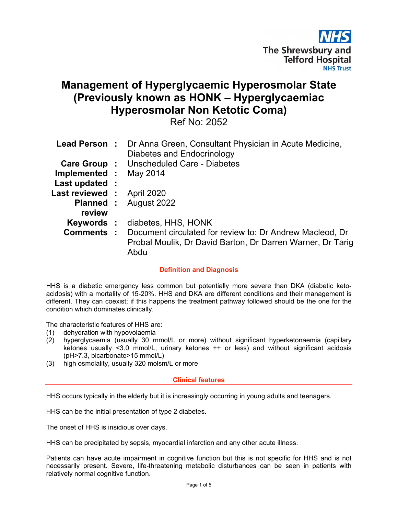

# Management of Hyperglycaemic Hyperosmolar State (Previously known as HONK – Hyperglycaemiac Hyperosmolar Non Ketotic Coma)

Ref No: 2052

|                                   | <b>Lead Person :</b> Dr Anna Green, Consultant Physician in Acute Medicine,<br>Diabetes and Endocrinology                                        |
|-----------------------------------|--------------------------------------------------------------------------------------------------------------------------------------------------|
|                                   | <b>Care Group : Unscheduled Care - Diabetes</b>                                                                                                  |
| Implemented : May 2014            |                                                                                                                                                  |
| Last updated :                    |                                                                                                                                                  |
| <b>Last reviewed : April 2020</b> |                                                                                                                                                  |
| review                            | <b>Planned:</b> August 2022                                                                                                                      |
|                                   | <b>Keywords: diabetes, HHS, HONK</b>                                                                                                             |
|                                   | <b>Comments :</b> Document circulated for review to: Dr Andrew Macleod, Dr<br>Probal Moulik, Dr David Barton, Dr Darren Warner, Dr Tarig<br>Abdu |

Definition and Diagnosis

HHS is a diabetic emergency less common but potentially more severe than DKA (diabetic ketoacidosis) with a mortality of 15-20%. HHS and DKA are different conditions and their management is different. They can coexist; if this happens the treatment pathway followed should be the one for the condition which dominates clinically.

The characteristic features of HHS are:

- 
- (1) dehydration with hypovolaemia<br>(2) hyperglycaemia (usually 30 m hyperglycaemia (usually 30 mmol/L or more) without significant hyperketonaemia (capillary ketones usually <3.0 mmol/L, urinary ketones ++ or less) and without significant acidosis (pH>7.3, bicarbonate>15 mmol/L)
- (3) high osmolality, usually 320 molsm/L or more

#### Clinical features

HHS occurs typically in the elderly but it is increasingly occurring in young adults and teenagers.

HHS can be the initial presentation of type 2 diabetes.

The onset of HHS is insidious over days.

HHS can be precipitated by sepsis, myocardial infarction and any other acute illness.

Patients can have acute impairment in cognitive function but this is not specific for HHS and is not necessarily present. Severe, life-threatening metabolic disturbances can be seen in patients with relatively normal cognitive function.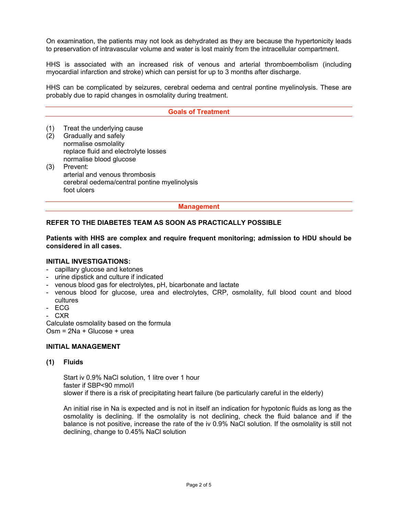On examination, the patients may not look as dehydrated as they are because the hypertonicity leads to preservation of intravascular volume and water is lost mainly from the intracellular compartment.

HHS is associated with an increased risk of venous and arterial thromboembolism (including myocardial infarction and stroke) which can persist for up to 3 months after discharge.

HHS can be complicated by seizures, cerebral oedema and central pontine myelinolysis. These are probably due to rapid changes in osmolality during treatment.

#### Goals of Treatment

(1) Treat the underlying cause

- (2) Gradually and safely normalise osmolality replace fluid and electrolyte losses normalise blood glucose
- (3) Prevent: arterial and venous thrombosis cerebral oedema/central pontine myelinolysis foot ulcers

Management

#### REFER TO THE DIABETES TEAM AS SOON AS PRACTICALLY POSSIBLE

Patients with HHS are complex and require frequent monitoring; admission to HDU should be considered in all cases.

#### INITIAL INVESTIGATIONS:

- capillary glucose and ketones
- urine dipstick and culture if indicated
- venous blood gas for electrolytes, pH, bicarbonate and lactate
- venous blood for glucose, urea and electrolytes, CRP, osmolality, full blood count and blood cultures
- ECG
- CXR

Calculate osmolality based on the formula Osm = 2Na + Glucose + urea

#### INITIAL MANAGEMENT

#### (1) Fluids

Start iv 0.9% NaCl solution, 1 litre over 1 hour faster if SBP<90 mmol/l slower if there is a risk of precipitating heart failure (be particularly careful in the elderly)

An initial rise in Na is expected and is not in itself an indication for hypotonic fluids as long as the osmolality is declining. If the osmolality is not declining, check the fluid balance and if the balance is not positive, increase the rate of the iv 0.9% NaCl solution. If the osmolality is still not declining, change to 0.45% NaCl solution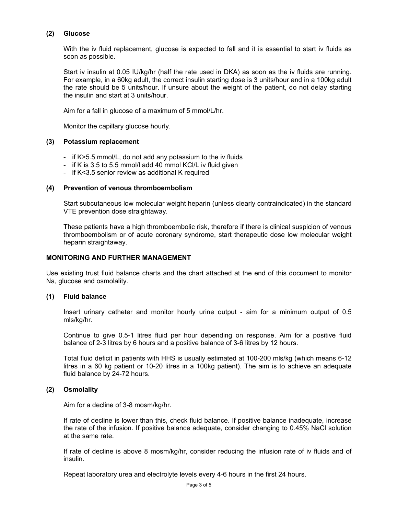#### (2) Glucose

With the iv fluid replacement, glucose is expected to fall and it is essential to start iv fluids as soon as possible.

Start iv insulin at 0.05 IU/kg/hr (half the rate used in DKA) as soon as the iv fluids are running. For example, in a 60kg adult, the correct insulin starting dose is 3 units/hour and in a 100kg adult the rate should be 5 units/hour. If unsure about the weight of the patient, do not delay starting the insulin and start at 3 units/hour.

Aim for a fall in glucose of a maximum of 5 mmol/L/hr.

Monitor the capillary glucose hourly.

#### (3) Potassium replacement

- if K>5.5 mmol/L, do not add any potassium to the iv fluids
- if K is 3.5 to 5.5 mmol/l add 40 mmol KCl/L iv fluid given
- if K<3.5 senior review as additional K required

#### (4) Prevention of venous thromboembolism

Start subcutaneous low molecular weight heparin (unless clearly contraindicated) in the standard VTE prevention dose straightaway.

These patients have a high thromboembolic risk, therefore if there is clinical suspicion of venous thromboembolism or of acute coronary syndrome, start therapeutic dose low molecular weight heparin straightaway.

#### MONITORING AND FURTHER MANAGEMENT

Use existing trust fluid balance charts and the chart attached at the end of this document to monitor Na, glucose and osmolality.

#### (1) Fluid balance

Insert urinary catheter and monitor hourly urine output - aim for a minimum output of 0.5 mls/kg/hr.

Continue to give 0.5-1 litres fluid per hour depending on response. Aim for a positive fluid balance of 2-3 litres by 6 hours and a positive balance of 3-6 litres by 12 hours.

Total fluid deficit in patients with HHS is usually estimated at 100-200 mls/kg (which means 6-12 litres in a 60 kg patient or 10-20 litres in a 100kg patient). The aim is to achieve an adequate fluid balance by 24-72 hours.

#### (2) Osmolality

Aim for a decline of 3-8 mosm/kg/hr.

If rate of decline is lower than this, check fluid balance. If positive balance inadequate, increase the rate of the infusion. If positive balance adequate, consider changing to 0.45% NaCl solution at the same rate.

If rate of decline is above 8 mosm/kg/hr, consider reducing the infusion rate of iv fluids and of insulin.

Repeat laboratory urea and electrolyte levels every 4-6 hours in the first 24 hours.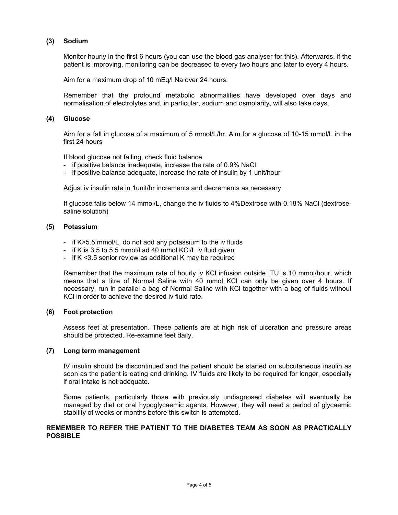#### (3) Sodium

Monitor hourly in the first 6 hours (you can use the blood gas analyser for this). Afterwards, if the patient is improving, monitoring can be decreased to every two hours and later to every 4 hours.

Aim for a maximum drop of 10 mEq/l Na over 24 hours.

Remember that the profound metabolic abnormalities have developed over days and normalisation of electrolytes and, in particular, sodium and osmolarity, will also take days.

#### (4) Glucose

Aim for a fall in glucose of a maximum of 5 mmol/L/hr. Aim for a glucose of 10-15 mmol/L in the first 24 hours

If blood glucose not falling, check fluid balance

- if positive balance inadequate, increase the rate of 0.9% NaCl
- if positive balance adequate, increase the rate of insulin by 1 unit/hour

Adjust iv insulin rate in 1unit/hr increments and decrements as necessary

If glucose falls below 14 mmol/L, change the iv fluids to 4%Dextrose with 0.18% NaCl (dextrosesaline solution)

### (5) Potassium

- if K>5.5 mmol/L, do not add any potassium to the iv fluids
- if K is 3.5 to 5.5 mmol/l ad 40 mmol KCl/L iv fluid given
- if K <3.5 senior review as additional K may be required

Remember that the maximum rate of hourly iv KCl infusion outside ITU is 10 mmol/hour, which means that a litre of Normal Saline with 40 mmol KCl can only be given over 4 hours. If necessary, run in parallel a bag of Normal Saline with KCl together with a bag of fluids without KCl in order to achieve the desired iv fluid rate.

#### (6) Foot protection

Assess feet at presentation. These patients are at high risk of ulceration and pressure areas should be protected. Re-examine feet daily.

#### (7) Long term management

IV insulin should be discontinued and the patient should be started on subcutaneous insulin as soon as the patient is eating and drinking. IV fluids are likely to be required for longer, especially if oral intake is not adequate.

Some patients, particularly those with previously undiagnosed diabetes will eventually be managed by diet or oral hypoglycaemic agents. However, they will need a period of glycaemic stability of weeks or months before this switch is attempted.

#### REMEMBER TO REFER THE PATIENT TO THE DIABETES TEAM AS SOON AS PRACTICALLY POSSIBLE